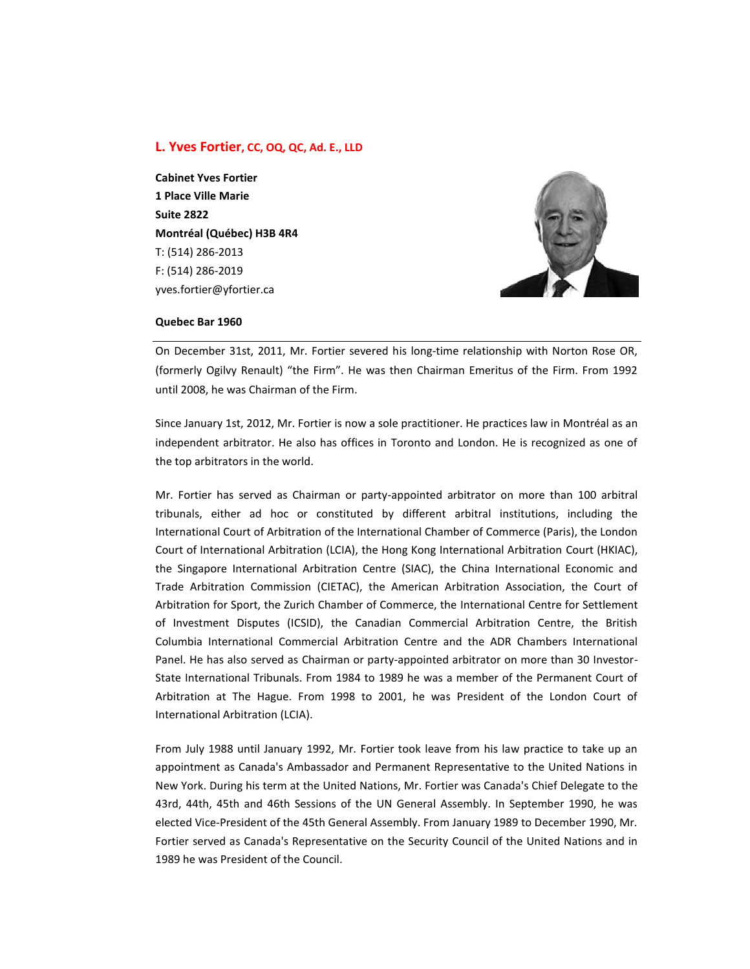# **L. Yves Fortier, CC, OQ, QC, Ad. E., LLD**

**Cabinet Yves Fortier 1 Place Ville Marie Suite 2822 Montréal (Québec) H3B 4R4** T: (514) 286-2013 F: (514) 286-2019 yves.fortier@yfortier.ca



#### **Quebec Bar 1960**

On December 31st, 2011, Mr. Fortier severed his long-time relationship with Norton Rose OR, (formerly Ogilvy Renault) "the Firm". He was then Chairman Emeritus of the Firm. From 1992 until 2008, he was Chairman of the Firm.

Since January 1st, 2012, Mr. Fortier is now a sole practitioner. He practices law in Montréal as an independent arbitrator. He also has offices in Toronto and London. He is recognized as one of the top arbitrators in the world.

Mr. Fortier has served as Chairman or party-appointed arbitrator on more than 100 arbitral tribunals, either ad hoc or constituted by different arbitral institutions, including the International Court of Arbitration of the International Chamber of Commerce (Paris), the London Court of International Arbitration (LCIA), the Hong Kong International Arbitration Court (HKIAC), the Singapore International Arbitration Centre (SIAC), the China International Economic and Trade Arbitration Commission (CIETAC), the American Arbitration Association, the Court of Arbitration for Sport, the Zurich Chamber of Commerce, the International Centre for Settlement of Investment Disputes (ICSID), the Canadian Commercial Arbitration Centre, the British Columbia International Commercial Arbitration Centre and the ADR Chambers International Panel. He has also served as Chairman or party-appointed arbitrator on more than 30 Investor-State International Tribunals. From 1984 to 1989 he was a member of the Permanent Court of Arbitration at The Hague. From 1998 to 2001, he was President of the London Court of International Arbitration (LCIA).

From July 1988 until January 1992, Mr. Fortier took leave from his law practice to take up an appointment as Canada's Ambassador and Permanent Representative to the United Nations in New York. During his term at the United Nations, Mr. Fortier was Canada's Chief Delegate to the 43rd, 44th, 45th and 46th Sessions of the UN General Assembly. In September 1990, he was elected Vice-President of the 45th General Assembly. From January 1989 to December 1990, Mr. Fortier served as Canada's Representative on the Security Council of the United Nations and in 1989 he was President of the Council.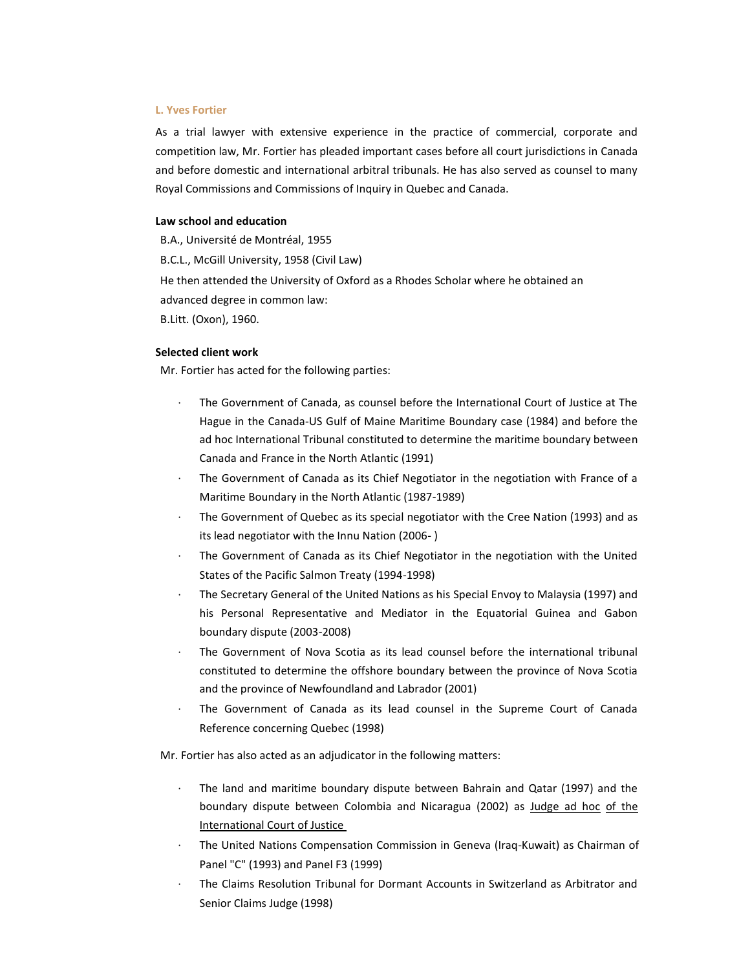#### **L. Yves Fortier**

As a trial lawyer with extensive experience in the practice of commercial, corporate and competition law, Mr. Fortier has pleaded important cases before all court jurisdictions in Canada and before domestic and international arbitral tribunals. He has also served as counsel to many Royal Commissions and Commissions of Inquiry in Quebec and Canada.

# **Law school and education**

B.A., Université de Montréal, 1955 B.C.L., McGill University, 1958 (Civil Law) He then attended the University of Oxford as a Rhodes Scholar where he obtained an advanced degree in common law: B.Litt. (Oxon), 1960.

### **Selected client work**

Mr. Fortier has acted for the following parties:

- The Government of Canada, as counsel before the International Court of Justice at The Hague in the Canada-US Gulf of Maine Maritime Boundary case (1984) and before the ad hoc International Tribunal constituted to determine the maritime boundary between Canada and France in the North Atlantic (1991)
- The Government of Canada as its Chief Negotiator in the negotiation with France of a Maritime Boundary in the North Atlantic (1987-1989)
- The Government of Quebec as its special negotiator with the Cree Nation (1993) and as its lead negotiator with the Innu Nation (2006- )
- The Government of Canada as its Chief Negotiator in the negotiation with the United States of the Pacific Salmon Treaty (1994-1998)
- · The Secretary General of the United Nations as his Special Envoy to Malaysia (1997) and his Personal Representative and Mediator in the Equatorial Guinea and Gabon boundary dispute (2003-2008)
- The Government of Nova Scotia as its lead counsel before the international tribunal constituted to determine the offshore boundary between the province of Nova Scotia and the province of Newfoundland and Labrador (2001)
- The Government of Canada as its lead counsel in the Supreme Court of Canada Reference concerning Quebec (1998)

Mr. Fortier has also acted as an adjudicator in the following matters:

- The land and maritime boundary dispute between Bahrain and Qatar (1997) and the boundary dispute between Colombia and Nicaragua (2002) as Judge ad hoc of the International Court of Justice
- · The United Nations Compensation Commission in Geneva (Iraq-Kuwait) as Chairman of Panel "C" (1993) and Panel F3 (1999)
- The Claims Resolution Tribunal for Dormant Accounts in Switzerland as Arbitrator and Senior Claims Judge (1998)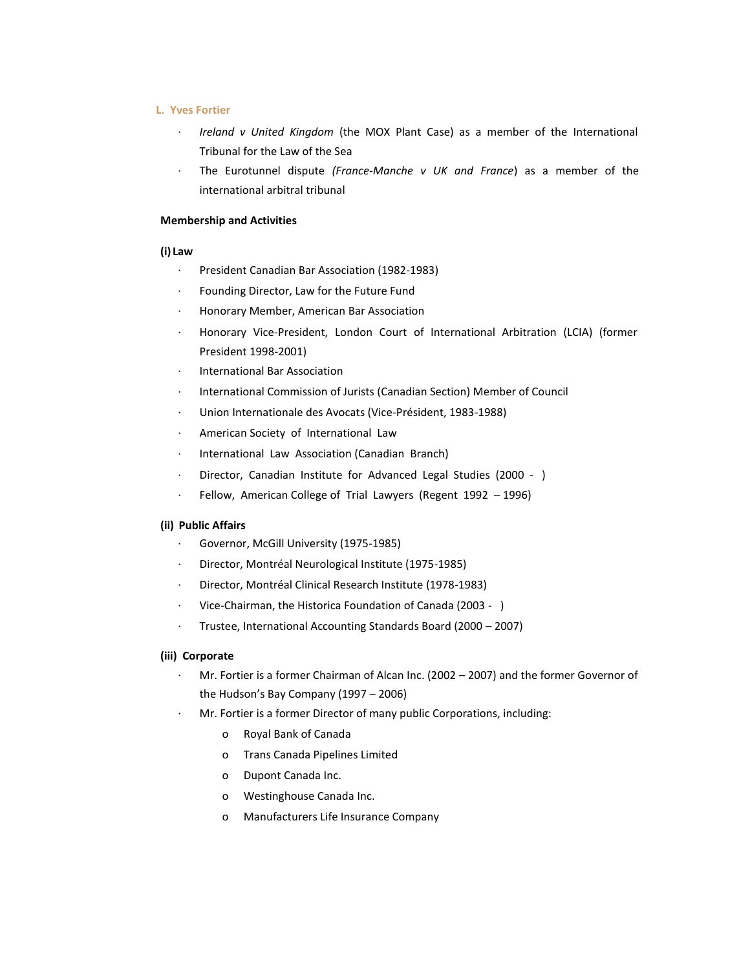# **L. Yves Fortier**

- · *Ireland v United Kingdom* (the MOX Plant Case) as a member of the International Tribunal for the Law of the Sea
- · The Eurotunnel dispute *(France-Manche v UK and France*) as a member of the international arbitral tribunal

# **Membership and Activities**

#### **(i) Law**

- President Canadian Bar Association (1982-1983)
- · Founding Director, Law for the Future Fund
- · Honorary Member, American Bar Association
- · Honorary Vice-President, London Court of International Arbitration (LCIA) (former President 1998-2001)
- · International Bar Association
- International Commission of Jurists (Canadian Section) Member of Council
- · Union Internationale des Avocats (Vice-Président, 1983-1988)
- · American Society of International Law
- · International Law Association (Canadian Branch)
- · Director, Canadian Institute for Advanced Legal Studies (2000 )
- Fellow, American College of Trial Lawyers (Regent 1992 1996)

# **(ii) Public Affairs**

- · Governor, McGill University (1975-1985)
- · Director, Montréal Neurological Institute (1975-1985)
- Director, Montréal Clinical Research Institute (1978-1983)
- · Vice-Chairman, the Historica Foundation of Canada (2003 )
- · Trustee, International Accounting Standards Board (2000 2007)

# **(iii) Corporate**

- · Mr. Fortier is a former Chairman of Alcan Inc. (2002 2007) and the former Governor of the Hudson's Bay Company (1997 – 2006)
- Mr. Fortier is a former Director of many public Corporations, including:
	- o Royal Bank of Canada
	- o Trans Canada Pipelines Limited
	- o Dupont Canada Inc.
	- o Westinghouse Canada Inc.
	- o Manufacturers Life Insurance Company